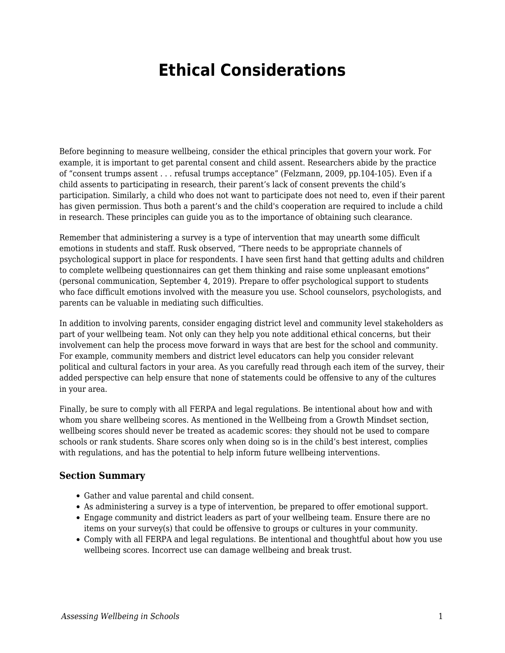## **Ethical Considerations**

Before beginning to measure wellbeing, consider the ethical principles that govern your work. For example, it is important to get parental consent and child assent. Researchers abide by the practice of "consent trumps assent . . . refusal trumps acceptance" (Felzmann, 2009, pp.104-105). Even if a child assents to participating in research, their parent's lack of consent prevents the child's participation. Similarly, a child who does not want to participate does not need to, even if their parent has given permission. Thus both a parent's and the child's cooperation are required to include a child in research. These principles can guide you as to the importance of obtaining such clearance.

Remember that administering a survey is a type of intervention that may unearth some difficult emotions in students and staff. Rusk observed, "There needs to be appropriate channels of psychological support in place for respondents. I have seen first hand that getting adults and children to complete wellbeing questionnaires can get them thinking and raise some unpleasant emotions" (personal communication, September 4, 2019). Prepare to offer psychological support to students who face difficult emotions involved with the measure you use. School counselors, psychologists, and parents can be valuable in mediating such difficulties.

In addition to involving parents, consider engaging district level and community level stakeholders as part of your wellbeing team. Not only can they help you note additional ethical concerns, but their involvement can help the process move forward in ways that are best for the school and community. For example, community members and district level educators can help you consider relevant political and cultural factors in your area. As you carefully read through each item of the survey, their added perspective can help ensure that none of statements could be offensive to any of the cultures in your area.

Finally, be sure to comply with all FERPA and legal regulations. Be intentional about how and with whom you share wellbeing scores. As mentioned in the Wellbeing from a Growth Mindset section, wellbeing scores should never be treated as academic scores: they should not be used to compare schools or rank students. Share scores only when doing so is in the child's best interest, complies with regulations, and has the potential to help inform future wellbeing interventions.

## **Section Summary**

- Gather and value parental and child consent.
- As administering a survey is a type of intervention, be prepared to offer emotional support.
- Engage community and district leaders as part of your wellbeing team. Ensure there are no items on your survey(s) that could be offensive to groups or cultures in your community.
- Comply with all FERPA and legal regulations. Be intentional and thoughtful about how you use wellbeing scores. Incorrect use can damage wellbeing and break trust.